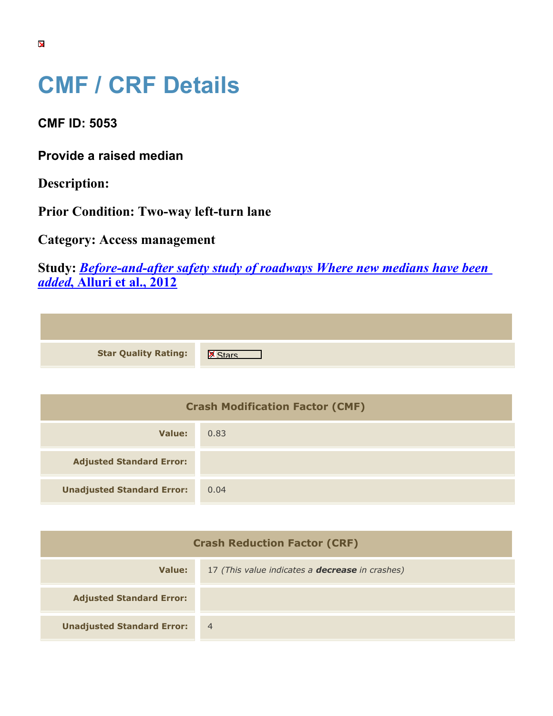## **CMF / CRF Details**

**CMF ID: 5053**

**Provide a raised median**

**Description:** 

**Prior Condition: Two-way left-turn lane**

**Category: Access management**

**Study:** *[Before-and-after safety study of roadways Where new medians have been](https://cmfclearinghouse.org/study_detail.cfm?stid=321) [added](https://cmfclearinghouse.org/study_detail.cfm?stid=321)***[, Alluri et al., 2012](https://cmfclearinghouse.org/study_detail.cfm?stid=321)**

| <b>Star Quality Rating:</b> | ΙX |
|-----------------------------|----|

| <b>Crash Modification Factor (CMF)</b> |      |
|----------------------------------------|------|
| Value:                                 | 0.83 |
| <b>Adjusted Standard Error:</b>        |      |
| <b>Unadjusted Standard Error:</b>      | 0.04 |

| <b>Crash Reduction Factor (CRF)</b> |                                                        |
|-------------------------------------|--------------------------------------------------------|
| Value:                              | 17 (This value indicates a <b>decrease</b> in crashes) |
| <b>Adjusted Standard Error:</b>     |                                                        |
| <b>Unadjusted Standard Error:</b>   | $\overline{4}$                                         |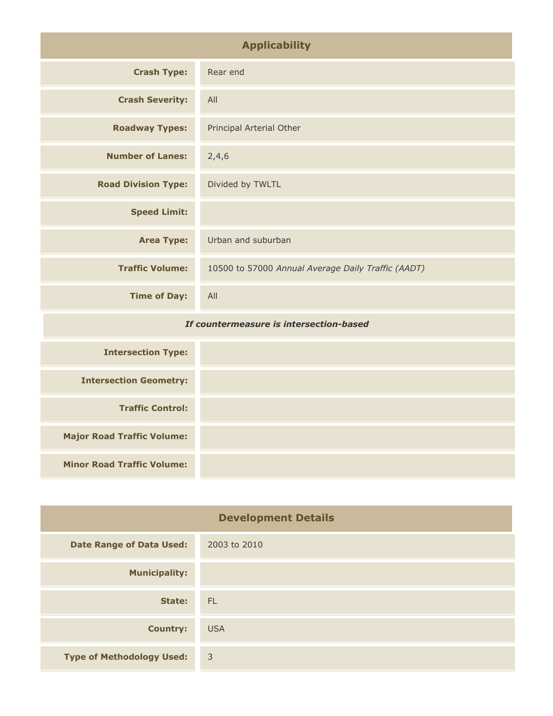| <b>Applicability</b>                    |                                                    |
|-----------------------------------------|----------------------------------------------------|
| <b>Crash Type:</b>                      | Rear end                                           |
| <b>Crash Severity:</b>                  | All                                                |
| <b>Roadway Types:</b>                   | Principal Arterial Other                           |
| <b>Number of Lanes:</b>                 | 2,4,6                                              |
| <b>Road Division Type:</b>              | Divided by TWLTL                                   |
| <b>Speed Limit:</b>                     |                                                    |
| <b>Area Type:</b>                       | Urban and suburban                                 |
| <b>Traffic Volume:</b>                  | 10500 to 57000 Annual Average Daily Traffic (AADT) |
| <b>Time of Day:</b>                     | All                                                |
| If countermeasure is intersection-based |                                                    |
| <b>Intersection Type:</b>               |                                                    |
| <b>Intersection Geometry:</b>           |                                                    |
| <b>Traffic Control:</b>                 |                                                    |
| <b>Major Road Traffic Volume:</b>       |                                                    |

| <b>Traffic Control:</b>           |  |
|-----------------------------------|--|
| <b>Major Road Traffic Volume:</b> |  |
| <b>Minor Road Traffic Volume:</b> |  |
|                                   |  |

 $\overline{\phantom{a}}$ 

| <b>Development Details</b>       |                |
|----------------------------------|----------------|
| <b>Date Range of Data Used:</b>  | 2003 to 2010   |
| <b>Municipality:</b>             |                |
| State:                           | - FL           |
| <b>Country:</b>                  | <b>USA</b>     |
| <b>Type of Methodology Used:</b> | $\overline{3}$ |